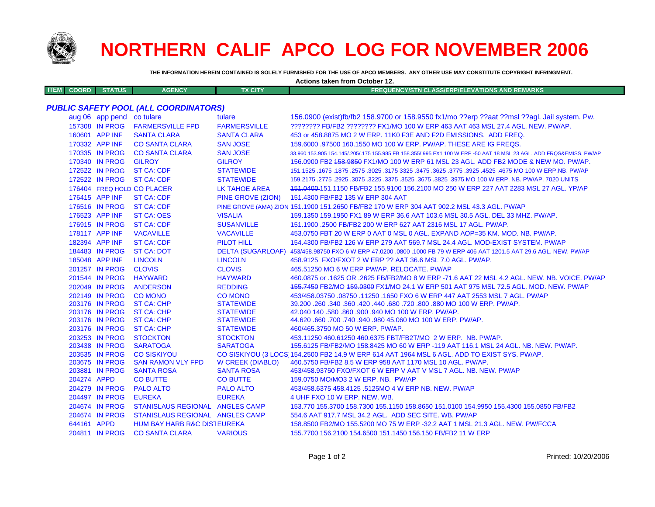

## **NORTHERN CALIF APCO LOG FOR NOVEMBER 2006**

**Actions taken from October 12.**

**THE INFORMATION HEREIN CONTAINED IS SOLELY FURNISHED FOR THE USE OF APCO MEMBERS. ANY OTHER USE MAY CONSTITUTE COPYRIGHT INFRINGMENT.**

| <b>ITEM</b> | <b>COORD</b> | <b>STATUS</b>             | <b>AGENCY</b>                                | <b>TX CITY</b>          | <b>FREQUENCY/STN CLASS/ERP/ELEVATIONS AND REMARKS</b>                                                               |
|-------------|--------------|---------------------------|----------------------------------------------|-------------------------|---------------------------------------------------------------------------------------------------------------------|
|             |              |                           |                                              |                         |                                                                                                                     |
|             |              |                           | <b>PUBLIC SAFETY POOL (ALL COORDINATORS)</b> | tulare                  |                                                                                                                     |
|             |              | aug 06 app pend co tulare |                                              |                         | 156.0900 (exist)fb/fb2 158.9700 or 158.9550 fx1/mo ??erp ??aat ??msl ??agl. Jail system. Pw.                        |
|             |              | 157308 IN PROG            | <b>FARMERSVILLE FPD</b>                      | <b>FARMERSVILLE</b>     | ???????? FB/FB2 ???????? FX1/MO 100 W ERP 463 AAT 463 MSL 27.4 AGL. NEW. PW/AP.                                     |
|             |              | 160601 APP INF            | <b>SANTA CLARA</b>                           | <b>SANTA CLARA</b>      | 453 or 458.8875 MO 2 W ERP. 11K0 F3E AND F2D EMISSIONS. ADD FREQ.                                                   |
|             |              | 170332 APP INF            | <b>CO SANTA CLARA</b>                        | <b>SAN JOSE</b>         | 159,6000 .97500 160,1550 MO 100 W ERP. PW/AP. THESE ARE IG FREQS.                                                   |
|             |              | 170335 IN PROG            | <b>CO SANTA CLARA</b>                        | <b>SAN JOSE</b>         | 33.960 153.905 154.145/.205/.175 155.985 FB 158.355/.995 FX1 100 W ERP -50 AAT 18 MSL 23 AGL. ADD FRQS&EMISS. PW/AP |
|             |              | 170340 IN PROG            | <b>GILROY</b>                                | <b>GILROY</b>           | 156,0900 FB2 <del>158,9850</del> FX1/MO 100 W ERP 61 MSL 23 AGL, ADD FB2 MODE & NEW MO, PW/AP,                      |
|             |              | 172522 IN PROG            | <b>ST CA: CDF</b>                            | <b>STATEWIDE</b>        | 151.1525 .1675 .1875 .3025 .3175 .325 .3475 .3625 .3775 .3925 .4525 .4675 .00 .1675 .1675 .1875 .1879               |
|             |              | 172522 IN PROG            | <b>ST CA: CDF</b>                            | <b>STATEWIDE</b>        | 159.2175 .2775 .2925 .3075 .3225 .3375 .3525 .3675 .3825 .3975 MO 100 W ERP. NB. PW/AP. 7020 UNITS                  |
|             |              |                           | 176404 FREQ HOLD CO PLACER                   | <b>LK TAHOE AREA</b>    | 151.0400-151.1150 FB/FB2 155.9100 156.2100 MO 250 W ERP 227 AAT 2283 MSL 27 AGL. YP/AP                              |
|             |              | 176415 APP INF            | ST CA: CDF                                   | PINE GROVE (ZION)       | 151.4300 FB/FB2 135 W ERP 304 AAT                                                                                   |
|             |              | 176516 IN PROG            | <b>ST CA: CDF</b>                            |                         | PINE GROVE (AMA) ZION 151.1900 151.2650 FB/FB2 170 W ERP 304 AAT 902.2 MSL 43.3 AGL. PW/AP                          |
|             |              | 176523 APP INF            | <b>ST CA: OES</b>                            | <b>VISALIA</b>          | 159.1350 159.1950 FX1 89 W ERP 36.6 AAT 103.6 MSL 30.5 AGL. DEL 33 MHZ. PW/AP.                                      |
|             |              | 176915 IN PROG            | <b>ST CA: CDF</b>                            | <b>SUSANVILLE</b>       | 151.1900.2500 FB/FB2 200 W ERP 627 AAT 2316 MSL 17 AGL, PW/AP.                                                      |
|             |              | 178117 APP INF            | <b>VACAVILLE</b>                             | <b>VACAVILLE</b>        | 453.0750 FBT 20 W ERP 0 AAT 0 MSL 0 AGL. EXPAND AOP=35 KM. MOD. NB. PW/AP.                                          |
|             |              | 182394 APP INF            | <b>ST CA: CDF</b>                            | PILOT HILL              | 154,4300 FB/FB2 126 W ERP 279 AAT 569.7 MSL 24.4 AGL, MOD-EXIST SYSTEM, PW/AP                                       |
|             |              | 184483 IN PROG            | <b>ST CA: DOT</b>                            |                         | DELTA (SUGARLOAF) 453/458.98750 FXO 6 W ERP 47.0200 .0800 .1000 FB 79 W ERP 406 AAT 1201.5 AAT 29.6 AGL. NEW. PW/AP |
|             |              | 185048 APP INF            | <b>LINCOLN</b>                               | <b>LINCOLN</b>          | 458,9125 FXO/FXOT 2 W ERP ?? AAT 36.6 MSL 7.0 AGL, PW/AP.                                                           |
|             |              | 201257 IN PROG            | <b>CLOVIS</b>                                | <b>CLOVIS</b>           | 465.51250 MO 6 W ERP PW/AP, RELOCATE, PW/AP                                                                         |
|             |              | 201544 IN PROG            | <b>HAYWARD</b>                               | <b>HAYWARD</b>          | 460.0875 or .1625 OR .2625 FB/FB2/MO 8 W ERP -71.6 AAT 22 MSL 4.2 AGL. NEW. NB. VOICE. PW/AP                        |
|             |              | 202049 IN PROG            | <b>ANDERSON</b>                              | <b>REDDING</b>          | 455.7450 FB2/MO 459.0300 FX1/MO 24.1 W ERP 501 AAT 975 MSL 72.5 AGL. MOD. NEW. PW/AP                                |
|             |              | 202149 IN PROG            | <b>CO MONO</b>                               | <b>CO MONO</b>          | 453/458.03750.08750.11250.1650 FXO 6 W ERP 447 AAT 2553 MSL 7 AGL, PW/AP                                            |
|             |              | 203176 IN PROG            | ST CA: CHP                                   | <b>STATEWIDE</b>        | 39.200 .260 .340 .360 .420 .440 .680 .720 .800 .880 MO 100 W ERP. PW/AP.                                            |
|             |              | 203176 IN PROG            | <b>ST CA: CHP</b>                            | <b>STATEWIDE</b>        | 42.040 140 .580 .860 .900 .940 MO 100 W ERP. PW/AP.                                                                 |
|             |              | 203176 IN PROG            | <b>ST CA: CHP</b>                            | <b>STATEWIDE</b>        | 44.620 .660 .700 .740 .940 .980 45.060 MO 100 W ERP. PW/AP.                                                         |
|             |              | 203176 IN PROG            | <b>ST CA: CHP</b>                            | <b>STATEWIDE</b>        | 460/465.3750 MO 50 W ERP. PW/AP.                                                                                    |
|             |              | 203253 IN PROG            | <b>STOCKTON</b>                              | <b>STOCKTON</b>         | 453.11250 460.61250 460.6375 FBT/FB2T/MO 2 W ERP. NB. PW/AP.                                                        |
|             |              | 203438 IN PROG            | <b>SARATOGA</b>                              | <b>SARATOGA</b>         | 155.6125 FB/FB2/MO 158.8425 MO 60 W ERP -119 AAT 116.1 MSL 24 AGL. NB. NEW. PW/AP.                                  |
|             |              | 203535 IN PROG            | <b>CO SISKIYOU</b>                           |                         | CO SISKIYOU (3 LOCS 154.2500 FB2 14.9 W ERP 614 AAT 1964 MSL 6 AGL. ADD TO EXIST SYS. PW/AP.                        |
|             |              | 203675 IN PROG            | <b>SAN RAMON VLY FPD</b>                     | <b>W CREEK (DIABLO)</b> | 460.5750 FB/FB2 8.5 W ERP 958 AAT 1170 MSL 10 AGL. PW/AP.                                                           |
|             |              | 203881 IN PROG            | <b>SANTA ROSA</b>                            | <b>SANTA ROSA</b>       | 453/458.93750 FXO/FXOT 6 W ERP V AAT V MSL 7 AGL. NB. NEW. PW/AP                                                    |
|             | 204274 APPD  |                           | <b>CO BUTTE</b>                              | <b>CO BUTTE</b>         | 159.0750 MO/MO3 2 W ERP. NB. PW/AP                                                                                  |
|             |              | 204279 IN PROG            | <b>PALO ALTO</b>                             | <b>PALO ALTO</b>        | 453/458.6375 458.4125 .5125MO 4 W ERP NB, NEW, PW/AP                                                                |
|             |              | 204497 IN PROG            | <b>EUREKA</b>                                | <b>EUREKA</b>           | 4 UHF FXO 10 W ERP. NEW. WB.                                                                                        |
|             |              | 204674 IN PROG            | STANISLAUS REGIONAL ANGLES CAMP              |                         | 153.770 155.3700 158.7300 155.1150 158.8650 151.0100 154.9950 155.4300 155.0850 FB/FB2                              |
|             |              | 204674 IN PROG            | STANISLAUS REGIONAL ANGLES CAMP              |                         | 554.6 AAT 917.7 MSL 34.2 AGL. ADD SEC SITE, WB, PW/AP                                                               |
|             | 644161 APPD  |                           | <b>HUM BAY HARB R&amp;C DISTEUREKA</b>       |                         | 158,8500 FB2/MO 155,5200 MO 75 W ERP -32,2 AAT 1 MSL 21.3 AGL, NEW, PW/FCCA                                         |
|             |              |                           | 204811 IN PROG CO SANTA CLARA                | <b>VARIOUS</b>          | 155.7700 156.2100 154.6500 151.1450 156.150 FB/FB2 11 W ERP                                                         |